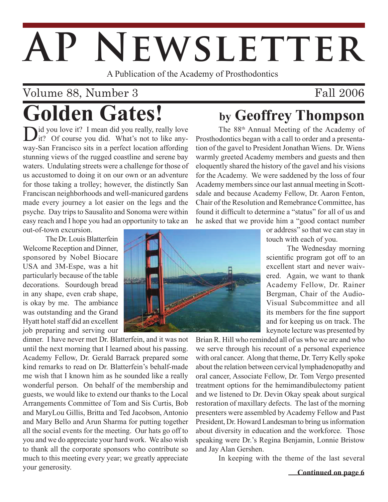# AP NEWSLETTER

A Publication of the Academy of Prosthodontics

# Volume 88, Number 3 **Golden Gates! by Geoffrey Thompson**

 $\sum_{i=1}^{d}$  you love it? I mean did you really, really love it? Of course you did. What's not to like anyway-San Francisco sits in a perfect location affording stunning views of the rugged coastline and serene bay waters. Undulating streets were a challenge for those of us accustomed to doing it on our own or an adventure for those taking a trolley; however, the distinctly San Franciscan neighborhoods and well-manicured gardens made every journey a lot easier on the legs and the psyche. Day trips to Sausalito and Sonoma were within easy reach and I hope you had an opportunity to take an

out-of-town excursion.

 The Dr. Louis Blatterfein Welcome Reception and Dinner. sponsored by Nobel Biocare USA and 3M-Espe, was a hit particularly because of the table decorations. Sourdough bread in any shape, even crab shape, is okay by me. The ambiance was outstanding and the Grand Hyatt hotel staff did an excellent job preparing and serving our

dinner. I have never met Dr. Blatterfein, and it was not until the next morning that I learned about his passing. Academy Fellow, Dr. Gerald Barrack prepared some kind remarks to read on Dr. Blatterfein's behalf-made me wish that I known him as he sounded like a really wonderful person. On behalf of the membership and guests, we would like to extend our thanks to the Local Arrangements Committee of Tom and Sis Curtis, Bob and MaryLou Gillis, Britta and Ted Jacobson, Antonio and Mary Bello and Arun Sharma for putting together all the social events for the meeting. Our hats go off to you and we do appreciate your hard work. We also wish to thank all the corporate sponsors who contribute so much to this meeting every year; we greatly appreciate your generosity.

Fall 2006

The 88th Annual Meeting of the Academy of Prosthodontics began with a call to order and a presentation of the gavel to President Jonathan Wiens. Dr. Wiens warmly greeted Academy members and guests and then eloquently shared the history of the gavel and his visions for the Academy. We were saddened by the loss of four Academy members since our last annual meeting in Scottsdale and because Academy Fellow, Dr. Aaron Fenton, Chair of the Resolution and Remebrance Committee, has found it difficult to determine a "status" for all of us and he asked that we provide him a "good contact number

or address" so that we can stay in touch with each of you.

 The Wednesday morning scientific program got off to an excellent start and never waivered. Again, we want to thank Academy Fellow, Dr. Rainer Bergman, Chair of the Audio-Visual Subcommittee and all its members for the fine support and for keeping us on track. The keynote lecture was presented by

Brian R. Hill who reminded all of us who we are and who we serve through his recount of a personal experience with oral cancer. Along that theme, Dr. Terry Kelly spoke about the relation between cervical lymphadenopathy and oral cancer, Associate Fellow, Dr. Tom Vergo presented treatment options for the hemimandibulectomy patient and we listened to Dr. Devin Okay speak about surgical restoration of maxillary defects. The last of the morning presenters were assembled by Academy Fellow and Past President, Dr. Howard Landesman to bring us information about diversity in education and the workforce. Those speaking were Dr.'s Regina Benjamin, Lonnie Bristow and Jay Alan Gershen.

In keeping with the theme of the last several

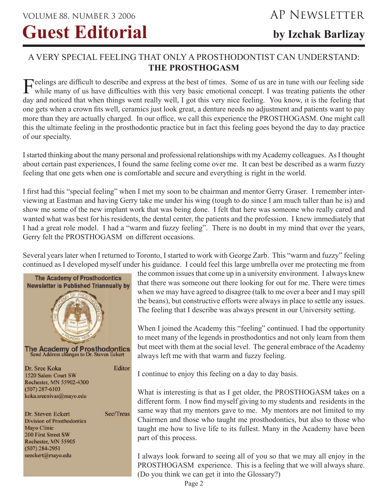## A VERY SPECIAL FEELING THAT ONLY A PROSTHODONTIST CAN UNDERSTAND: **THE PROSTHOGASM**

Feelings are difficult to describe and express at the best of times. Some of us are in tune with our feeling side while many of us have difficulties with this very basic emotional concept. I was treating patients the other day and noticed that when things went really well, I got this very nice feeling. You know, it is the feeling that one gets when a crown fits well, ceramics just look great, a denture needs no adjustment and patients want to pay more than they are actually charged. In our office, we call this experience the PROSTHOGASM. One might call this the ultimate feeling in the prosthodontic practice but in fact this feeling goes beyond the day to day practice of our specialty.

I started thinking about the many personal and professional relationships with my Academy colleagues. As I thought about certain past experiences, I found the same feeling come over me. It can best be described as a warm fuzzy feeling that one gets when one is comfortable and secure and everything is right in the world.

I first had this "special feeling" when I met my soon to be chairman and mentor Gerry Graser. I remember interviewing at Eastman and having Gerry take me under his wing (tough to do since I am much taller than he is) and show me some of the new implant work that was being done. I felt that here was someone who really cared and wanted what was best for his residents, the dental center, the patients and the profession. I knew immediately that I had a great role model. I had a "warm and fuzzy feeling". There is no doubt in my mind that over the years, Gerry felt the PROSTHOGASM on different occasions.

Several years later when I returned to Toronto, I started to work with George Zarb. This "warm and fuzzy" feeling continued as I developed myself under his guidance. I could feel this large umbrella over me protecting me from



the common issues that come up in a university environment. I always knew that there was someone out there looking for out for me. There were times when we may have agreed to disagree (talk to me over a beer and I may spill the beans), but constructive efforts were always in place to settle any issues. The feeling that I describe was always present in our University setting.

When I joined the Academy this "feeling" continued. I had the opportunity to meet many of the legends in prosthodontics and not only learn from them but meet with them at the social level. The general embrace of the Academy always left me with that warm and fuzzy feeling.

I continue to enjoy this feeling on a day to day basis.

What is interesting is that as I get older, the PROSTHOGASM takes on a different form. I now find myself giving to my students and residents in the same way that my mentors gave to me. My mentors are not limited to my Chairmen and those who taught me prosthodontics, but also to those who taught me how to live life to its fullest. Many in the Academy have been part of this process.

I always look forward to seeing all of you so that we may all enjoy in the PROSTHOGASM experience. This is a feeling that we will always share. (Do you think we can get it into the Glossary?)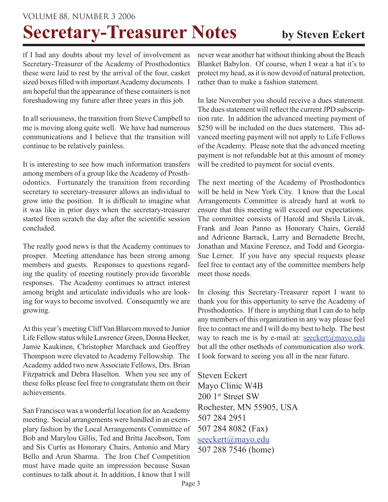### VOLUME 88, NUMBER 3 2006

# **Secretary-Treasurer Notes** by Steven Eckert

If I had any doubts about my level of involvement as Secretary-Treasurer of the Academy of Prosthodontics these were laid to rest by the arrival of the four, casket sized boxes filled with important Academy documents. I am hopeful that the appearance of these containers is not foreshadowing my future after three years in this job.

In all seriousness, the transition from Steve Campbell to me is moving along quite well. We have had numerous communications and I believe that the transition will continue to be relatively painless.

It is interesting to see how much information transfers among members of a group like the Academy of Prosthodontics. Fortunately the transition from recording secretary to secretary-treasurer allows an individual to grow into the position. It is difficult to imagine what it was like in prior days when the secretary-treasurer started from scratch the day after the scientific session concluded.

The really good news is that the Academy continues to prosper. Meeting attendance has been strong among members and guests. Responses to questions regarding the quality of meeting routinely provide favorable responses. The Academy continues to attract interest among bright and articulate individuals who are looking for ways to become involved. Consequently we are growing.

At this year's meeting Cliff Van Blarcom moved to Junior Life Fellow status while Lawrence Green, Donna Hecker, Jamie Kaukinen, Christopher Marchack and Geoffrey Thompson were elevated to Academy Fellowship. The Academy added two new Associate Fellows, Drs. Brian Fitzpatrick and Debra Haselton. When you see any of these folks please feel free to congratulate them on their achievements.

San Francisco was a wonderful location for an Academy meeting. Social arrangements were handled in an exemplary fashion by the Local Arrangements Committee of Bob and Marylou Gillis, Ted and Britta Jacobson, Tom and Sis Curtis as Honorary Chairs, Antonio and Mary Bello and Arun Sharma. The Iron Chef Competition must have made quite an impression because Susan continues to talk about it. In addition, I know that I will

never wear another hat without thinking about the Beach Blanket Babylon. Of course, when I wear a hat it's to protect my head, as it is now devoid of natural protection, rather than to make a fashion statement.

In late November you should receive a dues statement. The dues statement will reflect the current JPD subscription rate. In addition the advanced meeting payment of \$250 will be included on the dues statement. This advanced meeting payment will not apply to Life Fellows of the Academy. Please note that the advanced meeting payment is not refundable but at this amount of money will be credited to payment for social events.

The next meeting of the Academy of Prosthodontics will be held in New York City. I know that the Local Arrangements Committee is already hard at work to ensure that this meeting will exceed our expectations. The committee consists of Harold and Sheila Litvak, Frank and Joan Panno as Honorary Chairs, Gerald and Adrienne Barrack, Larry and Bernadette Brecht, Jonathan and Maxine Ferencz, and Todd and Georgia-Sue Lerner. If you have any special requests please feel free to contact any of the committee members help meet those needs

In closing this Secretary-Treasurer report I want to thank you for this opportunity to serve the Academy of Prosthodontics. If there is anything that I can do to help any members of this organization in any way please feel free to contact me and I will do my best to help. The best way to reach me is by e-mail at: seeckert@mayo.edu but all the other methods of communication also work. I look forward to seeing you all in the near future.

Steven Eckert Mayo Clinic W4B 200 1<sup>st</sup> Street SW Rochester, MN 55905, USA 507 284 2951 507 284 8082 (Fax) seeckert@mayo.edu 507 288 7546 (home)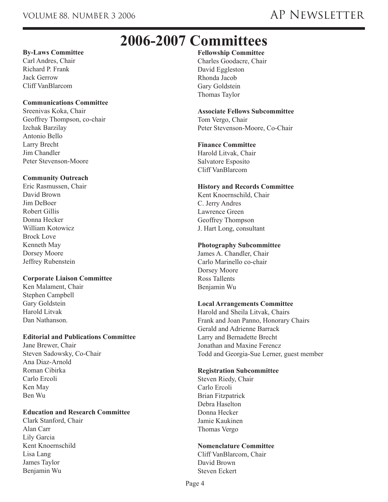## **2006-2007 Committees**

#### **By-Laws Committee**

Carl Andres, Chair Richard P. Frank Jack Gerrow Cliff VanBlarcom

#### **Communications Committee**

Sreenivas Koka, Chair Geoffrey Thompson, co-chair Izchak Barzilay Antonio Bello Larry Brecht Jim Chandler Peter Stevenson-Moore

#### **Community Outreach**

Eric Rasmussen, Chair David Brown Jim DeBoer Robert Gillis Donna Hecker William Kotowicz Brock Love Kenneth May Dorsey Moore Jeffrey Rubenstein

#### **Corporate Liaison Committee**

Ken Malament, Chair Stephen Campbell Gary Goldstein Harold Litvak Dan Nathanson.

#### **Editorial and Publications Committee**

Jane Brewer, Chair Steven Sadowsky, Co-Chair Ana Diaz-Arnold Roman Cibirka Carlo Ercoli Ken May Ben Wu

#### **Education and Research Committee**

Clark Stanford, Chair Alan Carr Lily Garcia Kent Knoernschild Lisa Lang James Taylor Benjamin Wu

#### **Fellowship Committee**

Charles Goodacre, Chair David Eggleston Rhonda Jacob Gary Goldstein Thomas Taylor

#### **Associate Fellows Subcommittee**

Tom Vergo, Chair Peter Stevenson-Moore, Co-Chair

#### **Finance Committee**

Harold Litvak, Chair Salvatore Esposito Cliff VanBlarcom

#### **History and Records Committee**

Kent Knoernschild, Chair C. Jerry Andres Lawrence Green Geoffrey Thompson J. Hart Long, consultant

#### **Photography Subcommittee**

James A. Chandler, Chair Carlo Marinello co-chair Dorsey Moore Ross Tallents Benjamin Wu

#### **Local Arrangements Committee**

Harold and Sheila Litvak, Chairs Frank and Joan Panno, Honorary Chairs Gerald and Adrienne Barrack Larry and Bernadette Brecht Jonathan and Maxine Ferencz Todd and Georgia-Sue Lerner, guest member

#### **Registration Subcommittee**

Steven Riedy, Chair Carlo Ercoli Brian Fitzpatrick Debra Haselton Donna Hecker Jamie Kaukinen Thomas Vergo

#### **Nomenclature Committee**

Cliff VanBlarcom, Chair David Brown Steven Eckert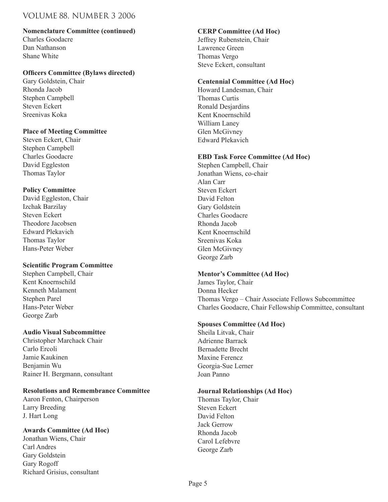#### VOLUME 88, NUMBER 3 2006

#### **Nomenclature Committee (continued)**

Charles Goodacre Dan Nathanson Shane White

#### **Officers Committee (Bylaws directed)**

Gary Goldstein, Chair Rhonda Jacob Stephen Campbell Steven Eckert Sreenivas Koka

#### **Place of Meeting Committee**

Steven Eckert, Chair Stephen Campbell Charles Goodacre David Eggleston Thomas Taylor

#### **Policy Committee**

David Eggleston, Chair Izchak Barzilay Steven Eckert Theodore Jacobsen Edward Plekavich Thomas Taylor Hans-Peter Weber

#### **Scientific Program Committee**

Stephen Campbell, Chair Kent Knoernschild Kenneth Malament Stephen Parel Hans-Peter Weber George Zarb

#### **Audio Visual Subcommittee**

Christopher Marchack Chair Carlo Ercoli Jamie Kaukinen Benjamin Wu Rainer H. Bergmann, consultant

#### **Resolutions and Remembrance Committee**

Aaron Fenton, Chairperson Larry Breeding J. Hart Long

#### **Awards Committee (Ad Hoc)**

Jonathan Wiens, Chair Carl Andres Gary Goldstein Gary Rogoff Richard Grisius, consultant

#### **CERP Committee (Ad Hoc)**

Jeffrey Rubenstein, Chair Lawrence Green Thomas Vergo Steve Eckert, consultant

#### **Centennial Committee (Ad Hoc)**

Howard Landesman, Chair Thomas Curtis Ronald Desjardins Kent Knoernschild William Laney Glen McGivney Edward Plekavich

#### **EBD Task Force Committee (Ad Hoc)**

Stephen Campbell, Chair Jonathan Wiens, co-chair Alan Carr Steven Eckert David Felton Gary Goldstein Charles Goodacre Rhonda Jacob Kent Knoernschild Sreenivas Koka Glen McGivney George Zarb

#### **Mentor's Committee (Ad Hoc)**

James Taylor, Chair Donna Hecker Thomas Vergo – Chair Associate Fellows Subcommittee Charles Goodacre, Chair Fellowship Committee, consultant

#### **Spouses Committee (Ad Hoc)**

Sheila Litvak, Chair Adrienne Barrack Bernadette Brecht Maxine Ferencz Georgia-Sue Lerner Joan Panno

#### **Journal Relationships (Ad Hoc)**

Thomas Taylor, Chair Steven Eckert David Felton Jack Gerrow Rhonda Jacob Carol Lefebvre George Zarb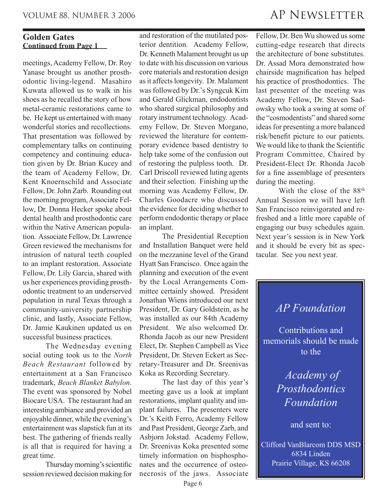#### **Continued from Page 1 Golden Gates**

meetings, Academy Fellow, Dr. Roy Yanase brought us another prosthodontic living-legend. Masahiro Kuwata allowed us to walk in his shoes as he recalled the story of how metal-ceramic restorations came to be. He kept us entertained with many wonderful stories and recollections. That presentation was followed by complementary talks on continuing competency and continuing education given by Dr. Brian Kucey and the team of Academy Fellow, Dr. Kent Knoernschild and Associate Fellow, Dr. John Zarb. Rounding out the morning program, Associate Fellow, Dr. Donna Hecker spoke about dental health and prosthodontic care within the Native American population. Associate Fellow, Dr. Lawrence Green reviewed the mechanisms for intrusion of natural teeth coupled to an implant restoration. Associate Fellow, Dr. Lily Garcia, shared with us her experiences providing prosthodontic treatment to an underserved population in rural Texas through a community-university partnership clinic, and lastly, Associate Fellow, Dr. Jamie Kaukinen updated us on successful business practices.

 The Wednesday evening social outing took us to the *North Beach Restaurant* followed by entertainment at a San Francisco trademark, *Beach Blanket Babylon*. The event was sponsored by Nobel Biocare USA. The restaurant had an interesting ambiance and provided an enjoyable dinner, while the evening's entertainment was slapstick fun at its best. The gathering of friends really is all that is required for having a great time.

 Thursday morning's scientific session reviewed decision making for

and restoration of the mutilated posterior dentition. Academy Fellow, Dr. Kenneth Malament brought us up to date with his discussion on various core materials and restoration design as it affects longevity. Dr. Malament was followed by Dr.'s Syngcuk Kim and Gerald Glickman, endodontists who shared surgical philosophy and rotary instrument technology. Academy Fellow, Dr. Steven Morgano, reviewed the literature for contemporary evidence based dentistry to help take some of the confusion out of restoring the pulpless tooth. Dr. Carl Driscoll reviewed luting agents and their selection. Finishing up the morning was Academy Fellow, Dr. Charles Goodacre who discussed the evidence for deciding whether to perform endodontic therapy or place an implant.

 The Presidential Reception and Installation Banquet were held on the mezzanine level of the Grand Hyatt San Francisco. Once again the planning and execution of the event by the Local Arrangements Committee certainly showed. President Jonathan Wiens introduced our next President, Dr. Gary Goldstein, as he was installed as our 84th Academy President. We also welcomed Dr. Rhonda Jacob as our new President Elect, Dr. Stephen Campbell as Vice President, Dr. Steven Eckert as Secretary-Treasurer and Dr. Sreenivas Koka as Recording Secretary.

 The last day of this year's meeting gave us a look at implant restorations, implant quality and implant failures. The presenters were Dr.'s Keith Ferro, Academy Fellow and Past President, George Zarb, and Asbjorn Jokstad. Academy Fellow, Dr. Sreenivas Koka presented some timely information on bisphosphonates and the occurrence of osteonecrosis of the jaws. Associate

## VOLUME 88, NUMBER 3 2006 AP NEWSLETTER

Fellow, Dr. Ben Wu showed us some cutting-edge research that directs the architecture of bone substitutes. Dr. Assad Mora demonstrated how chairside magnification has helped his practice of prosthodontics. The last presenter of the meeting was Academy Fellow, Dr. Steven Sadowsky who took a swing at some of the "cosmodentists" and shared some ideas for presenting a more balanced risk/benefit picture to our patients. We would like to thank the Scientific Program Committee, Chaired by President-Elect Dr. Rhonda Jacob for a fine assemblage of presenters during the meeting.

With the close of the 88<sup>th</sup> Annual Session we will have left San Francisco reinvigorated and refreshed and a little more capable of engaging our busy schedules again. Next year's session is in New York and it should be every bit as spectacular. See you next year.

## *AP Foundation*

Contributions and memorials should be made to the

> *Academy of Prosthodontics Foundation*

> > and sent to:

Clifford VanBlarcom DDS MSD 6834 Linden Prairie Village, KS 66208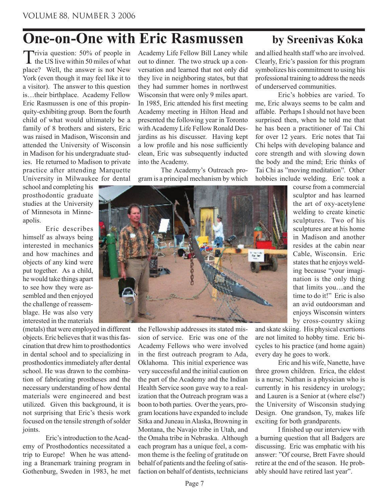## **One-on-One with Eric Rasmussen** by Sreenivas Koka

Trivia question: 50% of people in the US live within 50 miles of what place? Well, the answer is not New York (even though it may feel like it to a visitor). The answer to this question is…their birthplace. Academy Fellow Eric Rasmussen is one of this propinquity-exhibiting group. Born the fourth child of what would ultimately be a family of 8 brothers and sisters, Eric was raised in Madison, Wisconsin and attended the University of Wisconsin in Madison for his undergraduate studies. He returned to Madison to private practice after attending Marquette University in Milwaukee for dental

school and completing his prosthodontic graduate studies at the University of Minnesota in Minneapolis.

 Eric describes himself as always being interested in mechanics and how machines and objects of any kind were put together. As a child, he would take things apart to see how they were assembled and then enjoyed the challenge of reassemblage. He was also very interested in the materials

(metals) that were employed in different objects. Eric believes that it was this fascination that drew him to prosthodontics in dental school and to specializing in prosthodontics immediately after dental school. He was drawn to the combination of fabricating prostheses and the necessary understanding of how dental materials were engineered and best utilized. Given this background, it is not surprising that Eric's thesis work focused on the tensile strength of solder joints.

 Eric's introduction to the Academy of Prosthodontics necessitated a trip to Europe! When he was attending a Branemark training program in Gothenburg, Sweden in 1983, he met Academy Life Fellow Bill Laney while out to dinner. The two struck up a conversation and learned that not only did they live in neighboring states, but that they had summer homes in northwest Wisconsin that were only 9 miles apart. In 1985, Eric attended his first meeting Academy meeting in Hilton Head and presented the following year in Toronto with Academy Life Fellow Ronald Desjardins as his discusser. Having kept a low profile and his nose sufficiently clean, Eric was subsequently inducted into the Academy.

 The Academy's Outreach program is a principal mechanism by which



and allied health staff who are involved. Clearly, Eric's passion for this program symbolizes his commitment to using his professional training to address the needs of underserved communities.

 Eric's hobbies are varied. To me, Eric always seems to be calm and affable. Perhaps I should not have been surprised then, when he told me that he has been a practitioner of Tai Chi for over 12 years. Eric notes that Tai Chi helps with developing balance and core strength and with slowing down the body and the mind; Eric thinks of Tai Chi as "moving meditation". Other hobbies include welding. Eric took a



the Fellowship addresses its stated mission of service. Eric was one of the Academy Fellows who were involved in the first outreach program to Ada, Oklahoma. This initial experience was very successful and the initial caution on the part of the Academy and the Indian Health Service soon gave way to a realization that the Outreach program was a boon to both parties. Over the years, program locations have expanded to include Sitka and Juneau in Alaska, Browning in Montana, the Navajo tribe in Utah, and the Omaha tribe in Nebraska. Although each program has a unique feel, a common theme is the feeling of gratitude on behalf of patients and the feeling of satisfaction on behalf of dentists, technicians

course from a commercial sculptor and has learned the art of oxy-acetylene welding to create kinetic sculptures. Two of his sculptures are at his home in Madison and another resides at the cabin near Cable, Wisconsin. Eric states that he enjoys welding because "your imagination is the only thing that limits you…and the time to do it!" Eric is also an avid outdoorsman and enjoys Wisconsin winters by cross-country skiing

and skate skiing. His physical exertions are not limited to hobby time. Eric bicycles to his practice (and home again) every day he goes to work.

 Eric and his wife, Nanette, have three grown children. Erica, the eldest is a nurse; Nathan is a physician who is currently in his residency in urology; and Lauren is a Senior at (where else?) the University of Wisconsin studying Design. One grandson, Ty, makes life exciting for both grandparents.

 I finished up our interview with a burning question that all Badgers are discussing. Eric was emphatic with his answer: "Of course, Brett Favre should retire at the end of the season. He probably should have retired last year".